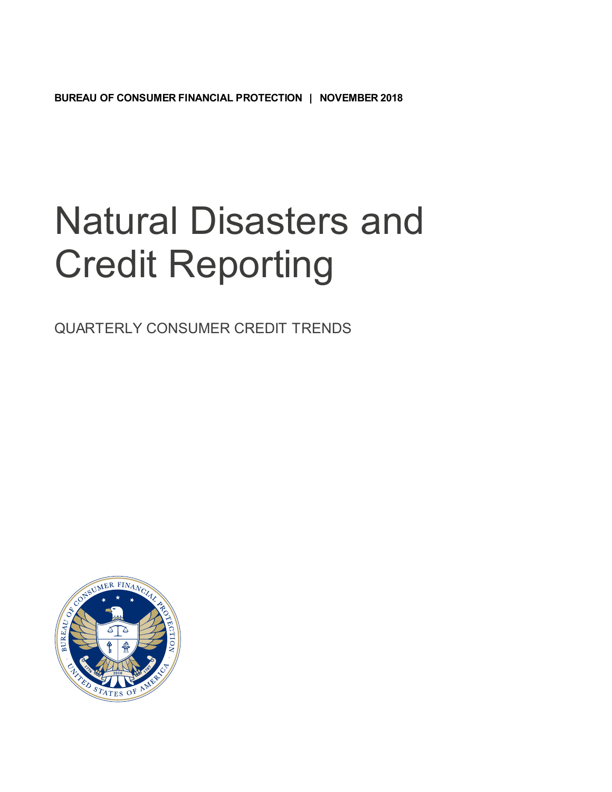**BUREAU OF CONSUMER FINANCIAL PROTECTION | NOVEMBER 2018**

## Natural Disasters and Credit Reporting

QUARTERLY CONSUMER CREDIT TRENDS

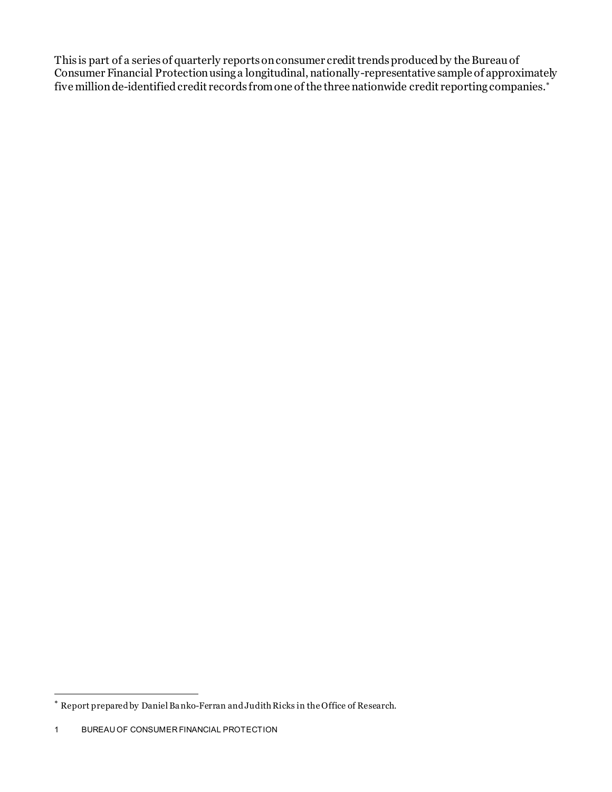This is part of a series of quarterly reports on consumer credit trends produced by the Bureau of Consumer Financial Protectionusing a longitudinal, nationally-representative sample of approximately five million de-identified credit records from one of the three nationwide credit reporting companies.[∗](#page-1-0)

l

<span id="page-1-0"></span><sup>∗</sup> Report prepared by Daniel Ba nko-Ferran and Judith Ricks in the Office of Research.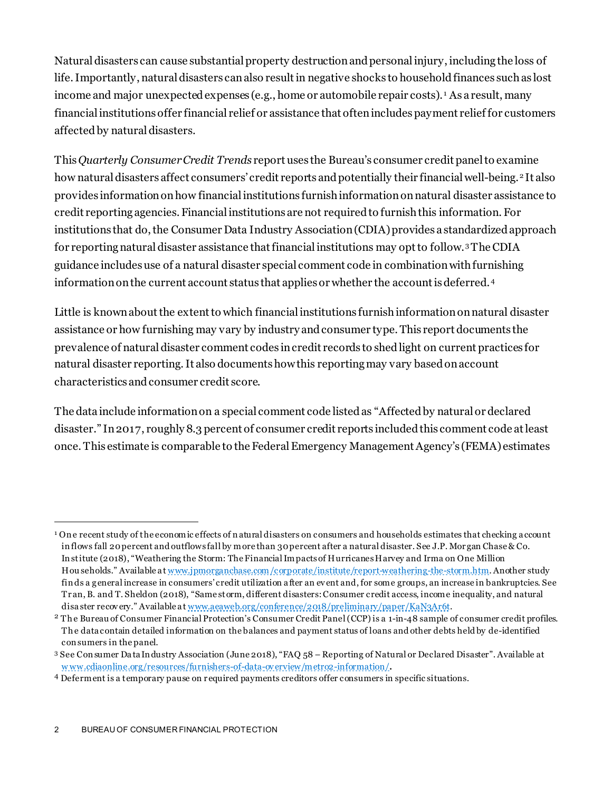Natural disasters can cause substantial property destruction and personal injury, including the loss of life. Importantly, natural disasters can also result in negative shocks to household finances such as lost income and major unexpected expenses (e.g., home or automobile repair costs). [1](#page-2-0) As a result, many financial institutions offer financial relief or assistance that often includes payment relief for customers affected by natural disasters.

This *Quarterly Consumer Credit Trends* report uses the Bureau's consumer credit panel to examine how natural disasters affect consumers' credit reports and potentially their financial well-being.<sup>[2](#page-2-1)</sup> It also provides information on how financial institutions furnishinformation onnatural disaster assistance to credit reporting agencies. Financial institutions are not required to furnish this information. For institutions that do, the Consumer Data Industry Association (CDIA) provides a standardized approach for reporting natural disaster assistance that financial institutions may opt to follow.[3](#page-2-2) The CDIA guidance includes use of a natural disaster special comment code in combination with furnishing information on the current account status that applies or whether the account is deferred.[4](#page-2-3)

Little is known about the extent to which financial institutions furnishinformation onnatural disaster assistance or how furnishing may vary by industry and consumer type. This report documents the prevalence of natural disaster comment codes in credit records to shed light on current practices for natural disaster reporting. It also documents how this reportingmay vary based on account characteristics and consumer credit score.

The data include information on a special comment code listed as "Affected by natural or declared disaster." In 2017, roughly 8.3 percent of consumer credit reports included this comment code at least once. This estimate is comparable to the Federal Emergency Management Agency's (FEMA) estimates

 $\overline{a}$ 

<span id="page-2-0"></span><sup>&</sup>lt;sup>1</sup> One recent study of the economic effects of natural disasters on consumers and households estimates that checking a ccount in flows fall 20 percent and outflows fall by more than 30 percent after a natural disaster. See J.P. Mor gan Chase & Co. In stitute (2018), "Weathering the Storm: The Financial Impacts of Hurricanes Harvey and Irma on One Million Hou seholds." Available at www.jpmorganchase.com/corporate/institute/report-weathering-the-storm.htm. Another study fin ds a general increase in consumers' credit utilization after an event and, for some groups, an increase in bankruptcies. See Tr an, B. and T. Sheldon (2018), "Same storm, different disasters: Consumer credit access, income inequality, and natural disa ster recov ery." Available a t [www.aeaweb.org/conference/2018/preliminary/paper/KaN3Ar6t](http://www.aeaweb.org/conference/2018/preliminary/paper/KaN3Ar6t).

<span id="page-2-1"></span><sup>&</sup>lt;sup>2</sup> The Bureau of Consumer Financial Protection's Consumer Credit Panel (CCP) is a 1-in-48 sample of consumer credit profiles. Th e data contain detailed information on the balances and payment status of loans and other debts held by de-identified con sumers in the panel.

<span id="page-2-2"></span><sup>3</sup> See Con sumer Da ta In dustry Association (June 2018), "FAQ 58 – Reporting of Natural or Declared Disaster". Available at [w ww.cdiaonline.org/resources/furnishers-of-data-ov erview/metro2-information/](http://www.cdiaonline.org/resources/furnishers-of-data-overview/metro2-information/).

<span id="page-2-3"></span><sup>4</sup> Deferment is a temporary pause on r equired payments creditors offer consumers in specific situations.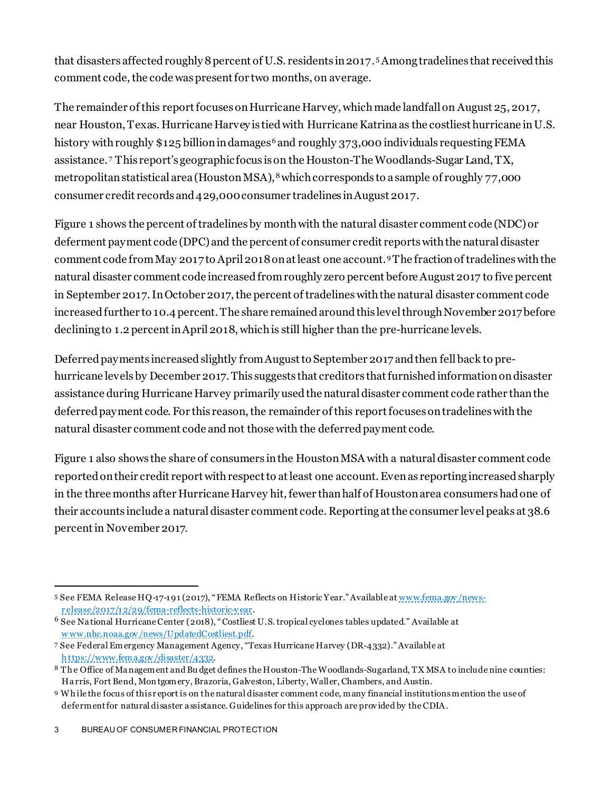that disasters affected roughly 8percent of U.S. residents in2017. [5](#page-3-0) Among tradelines that received this comment code, the code was present for two months, on average.

The remainder of this report focuses on Hurricane Harvey, which made landfall on August 25, 2017, near Houston, Texas. Hurricane Harvey is tied with Hurricane Katrina as the costliest hurricane in U.S. history with roughly  $$125$  billion in damages<sup>[6](#page-3-1)</sup> and roughly 373,000 individuals requesting FEMA assistance. [7](#page-3-2) This report's geographic focus is on the Houston-The Woodlands-Sugar Land, TX, metropolitan statistical area (Houston MSA),  $^8$  $^8$  which corresponds to a sample of roughly 77,000  $\,$ consumer credit records and 429,000 consumer tradelines in August 2017.

Figure 1 shows the percent of tradelinesby monthwith the natural disaster comment code (NDC)or deferment payment code (DPC) and the percent of consumer credit reports with the natural disaster comment code from May 2017 to April 2018on at least one account.[9](#page-3-4) The fraction of tradelineswith the natural disaster comment code increased from roughly zero percent before August 2017 to five percent in September 2017. In October 2017, the percent of tradelineswith the natural disaster comment code increased further to 10.4 percent. The share remained around this level through November 2017 before declining to 1.2 percent in April 2018, which is still higher than the pre-hurricane levels.

Deferred payments increased slightly from August to September 2017 and then fell back to prehurricane levels by December 2017. This suggests that creditors that furnished information on disaster assistance during Hurricane Harvey primarily used the natural disaster comment code rather than the deferred payment code. For this reason, the remainder of this report focuses on tradelines withthe natural disaster comment code and not those with the deferred payment code.

Figure 1 also shows the share of consumers in the Houston MSA with a natural disaster comment code reported on their credit report with respect to at least one account. Even as reporting increased sharply in the three months after Hurricane Harvey hit, fewer than half of Houston area consumers had one of their accounts include a natural disaster comment code. Reporting at the consumer level peaks at 38.6 percentin November 2017.

<span id="page-3-0"></span><sup>5</sup> See FEMA Release HQ-17-191 (2017), " FEMA Reflects on Historic Year." Available at www.fema.gov/news[r elease/2017/12/29/fema-reflects-historic-y ear](http://www.fema.gov/news-release/2017/12/29/fema-reflects-historic-year). l

<span id="page-3-1"></span><sup>6</sup> See Na tional Hurricane Center (2018), " Costliest U.S. tropical cyclones tables updated." Available at [w ww.nhc.noaa.gov /news/UpdatedCostliest.pdf](http://www.nhc.noaa.gov/news/UpdatedCostliest.pdf).

<span id="page-3-2"></span><sup>7</sup> See Federal Emergency Management Agency, "Texas Hurricane Harvey (DR-4332)." Available at [h ttps://www.fema.gov /disaster/4332](https://www.fema.gov/disaster/4332) .

<span id="page-3-3"></span><sup>8</sup> The Office of Ma nagement and Bu dget defines the Houston-The Woodlands-Sugarland, TX MSA to include nine counties: Ha rris, Fort Bend, Mon tgomery, Brazoria, Galveston, Liberty, Waller, Chambers, and Austin.

<span id="page-3-4"></span><sup>9</sup> Wh ile the focus of this r eport is on the natural disaster comment code, many financial institutions mention the use of defermentfor natural disaster a ssistance. Guidelines for this approach are prov ided by the CDIA .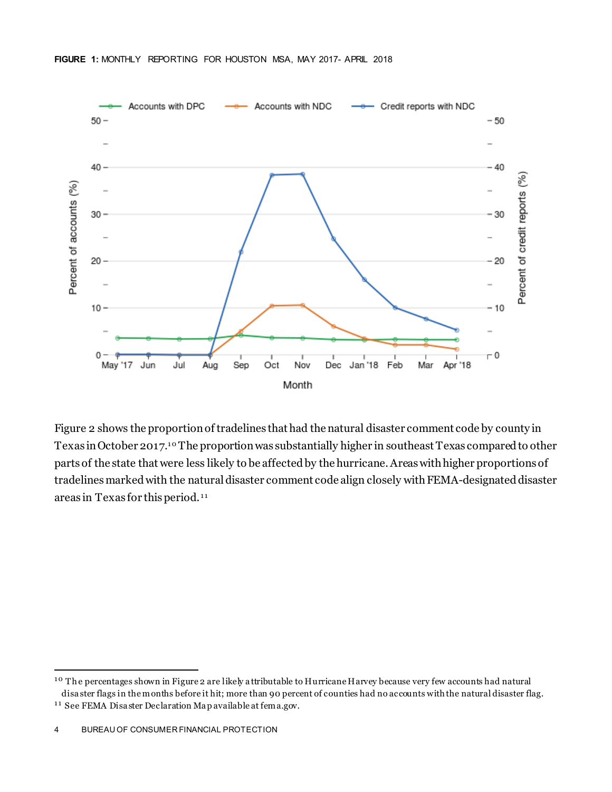

Figure 2 shows the proportion of tradelines that had the natural disaster comment code by county in Texas in October 2017.<sup>10</sup> The proportion was substantially higher in southeast Texas compared to other parts of the state that were less likely to be affected by the hurricane. Areas with higher proportions of tradelines marked with the natural disaster comment code align closely with FEMA-designated disaster areas in Texas for this period.<sup>11</sup>

l

<span id="page-4-0"></span><sup>&</sup>lt;sup>10</sup> The percentages shown in Figure 2 are likely a ttributable to Hurricane Harvey because very few accounts had natural disa ster flags in the months before it hit; more than 90 percent of counties had no accounts with the natural disaster flag.

<span id="page-4-1"></span><sup>&</sup>lt;sup>11</sup> See FEMA Disaster Declaration Map available at fema.gov.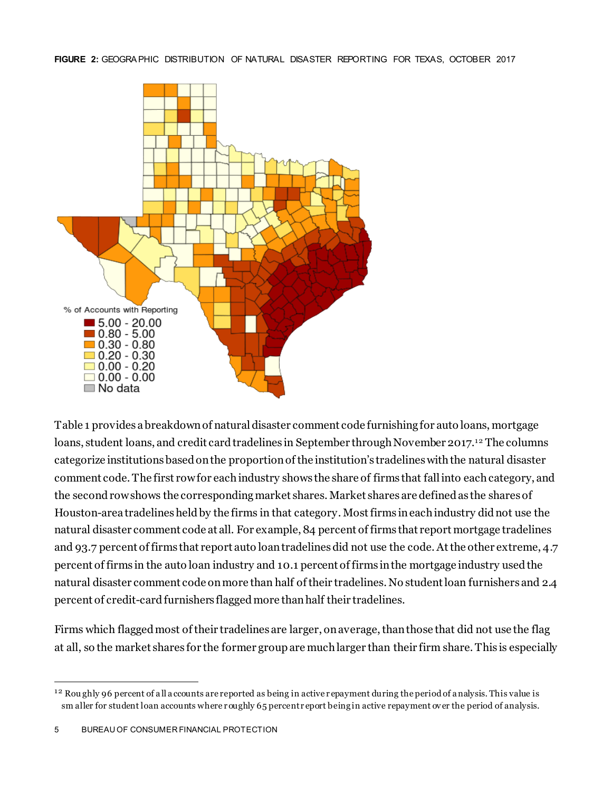

Table 1 provides a breakdown of natural disaster comment code furnishing for auto loans, mortgage loans, student loans, and credit card tradelines in September through November 2017.12 The columns categorize institutions based on the proportion of the institution's tradelines with the natural disaster comment code. The first row for each industry shows the share of firms that fall into each category, and the second row shows the corresponding market shares. Market shares are defined as the shares of Houston-area tradelines held by the firms in that category. Mostfirms in each industry didnot use the natural disaster comment code at all. For example, 84 percent of firms that report mortgage tradelines and 93.7 percent of firms that report auto loan tradelines did not use the code. At the other extreme, 4.7 percent of firms in the auto loan industry and 10.1 percent of firms in the mortgage industry used the natural disaster comment code on more than half of their tradelines. No student loan furnishers and 2.4 percent of credit-card furnishers flagged more than half their tradelines.

Firms which flagged most of their tradelines are larger, on average, than those that did not use the flag at all, so the market shares for the former group are muchlarger than their firm share. This is especially

<span id="page-5-0"></span> $12$  Roughly 96 percent of all accounts are reported as being in active repayment during the period of a nalysis. This value is sm aller for student loan accounts where roughly 65 percent report being in active repayment over the period of analysis. l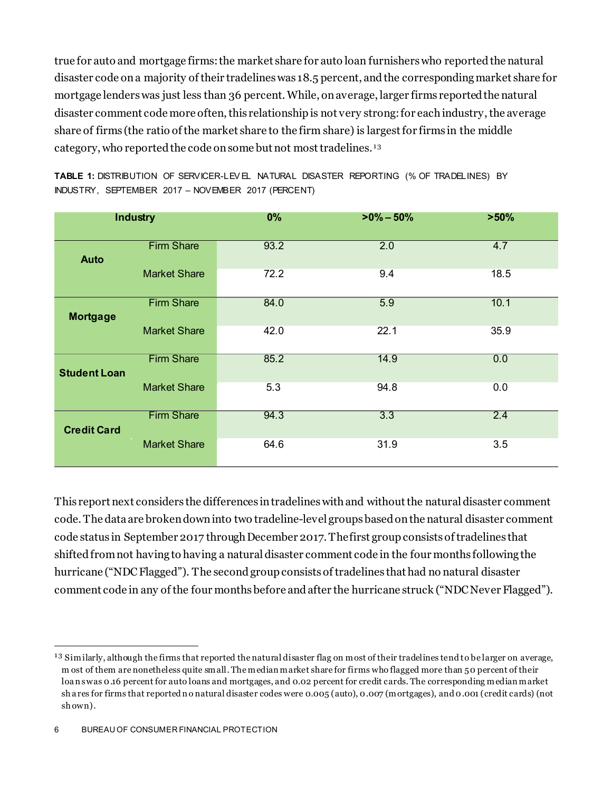true for auto and mortgage firms:the market share for auto loan furnishers who reported the natural disaster code on a majority of their tradelineswas 18.5 percent, and the corresponding market share for mortgage lenders was just less than 36 percent. While, on average, larger firms reported the natural disaster comment code more often, this relationship is not very strong: for each industry, the average share of firms (the ratio of the market share to the firm share) is largest for firms in the middle category, who reported the code on some but not most tradelines.<sup>13</sup>

| <b>Industry</b>     |                     | 0%   | $>0\% - 50\%$    | >50% |
|---------------------|---------------------|------|------------------|------|
| <b>Auto</b>         | <b>Firm Share</b>   | 93.2 | 2.0              | 4.7  |
|                     | <b>Market Share</b> | 72.2 | 9.4              | 18.5 |
| <b>Mortgage</b>     | <b>Firm Share</b>   | 84.0 | $\overline{5.9}$ | 10.1 |
|                     | <b>Market Share</b> | 42.0 | 22.1             | 35.9 |
| <b>Student Loan</b> | <b>Firm Share</b>   | 85.2 | 14.9             | 0.0  |
|                     | <b>Market Share</b> | 5.3  | 94.8             | 0.0  |
| <b>Credit Card</b>  | <b>Firm Share</b>   | 94.3 | $\overline{3.3}$ | 2.4  |
|                     | <b>Market Share</b> | 64.6 | 31.9             | 3.5  |

**TABLE 1:** DISTRIBUTION OF SERVICER-LEV EL NATURAL DISASTER REPORTING (% OF TRADELINES) BY INDUSTRY, SEPTEMBER 2017 – NOVEMBER 2017 (PERCENT)

This report next considers the differences in tradelines with and without the natural disaster comment code. The data are broken down into two tradeline-level groups based onthe natural disaster comment code status in September 2017 through December 2017. The first group consists of tradelines that shifted from not having to having a natural disaster comment code in the four months following the hurricane ("NDC Flagged"). The second group consists of tradelines that had no natural disaster comment code in any of the four months before and after the hurricane struck ("NDC Never Flagged").

<span id="page-6-0"></span> $13$  Similarly, although the firms that reported the natural disaster flag on most of their tradelines tend to be larger on average, m ost of them are nonetheless quite small. The median market share for firms who flagged more than 50 percent of their loanswas 0.16 percent for auto loans and mortgages, and 0.02 percent for credit cards. The corresponding median market sh a res for firms that reported n o natural disaster codes were 0.005 (auto), 0.007 (mortgages), and 0.001 (credit cards) (not sh own). l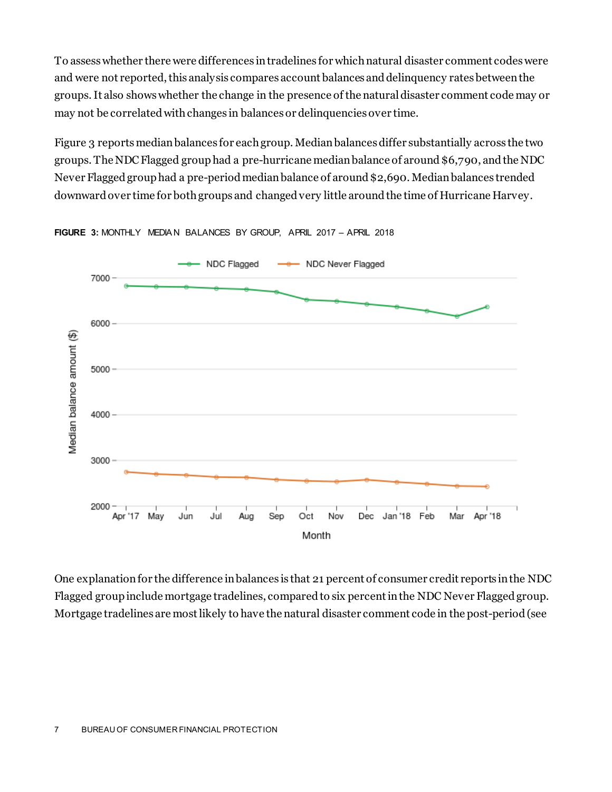To assess whether there were differences in tradelines for which natural disaster comment codes were and were not reported, this analysis compares account balances and delinquency rates between the groups. It also shows whether the change in the presence of the natural disaster comment code may or may not be correlated with changes in balances or delinquencies over time.

Figure 3 reports median balances for each group. Median balances differ substantially across the two groups. The NDC Flagged grouphad a pre-hurricane median balance of around \$6,790, and the NDC Never Flaggedgroup had a pre-period median balance of around \$2,690. Median balances trended downward over time for both groups and changed very little around the time of Hurricane Harvey.



FIGURE 3: MONTHLY MEDIAN BALANCES BY GROUP, APRIL 2017 - APRIL 2018

One explanation for the difference in balances is that 21 percent of consumer credit reports in the NDC Flagged group include mortgage tradelines, compared to six percentin the NDC Never Flaggedgroup. Mortgage tradelines are most likely to have the natural disaster comment code in the post-period (see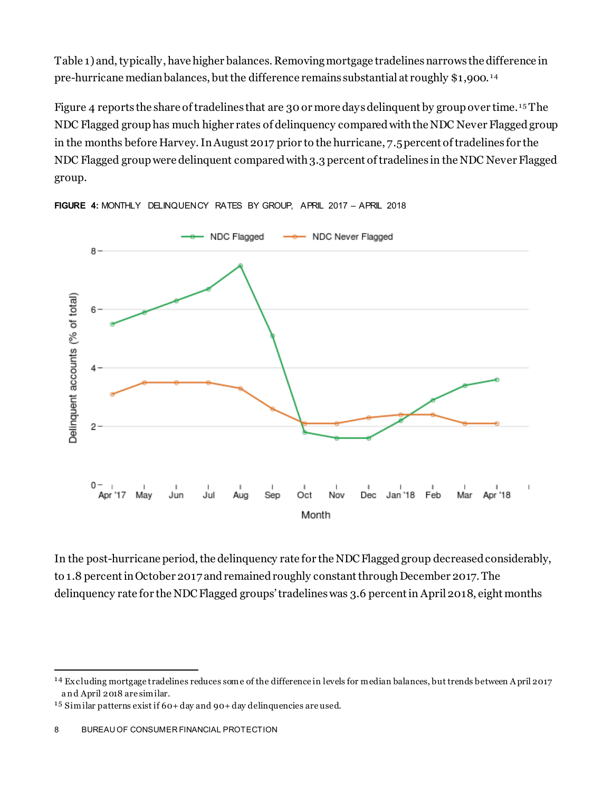Table 1) and, typically, have higher balances. Removing mortgage tradelinesnarrows the difference in pre-hurricane median balances, but the difference remains substantial at roughly \$1,900.<sup>14</sup>

Figure 4 reports the share of tradelines that are 30 or more days delinquent by group over time.  $^{15}$  The NDC Flagged group has much higher rates of delinquency compared with the NDC Never Flagged group in the months before Harvey. In August 2017 prior to the hurricane, 7.5percent of tradelines for the NDC Flagged group were delinquent compared with 3.3 percent of tradelines in the NDC Never Flagged group.



**FIGURE 4:** MONTHLY DELINQUENCY RATES BY GROUP, APRIL 2017 – APRIL 2018

In the post-hurricane period, the delinquency rate for the NDC Flagged group decreased considerably, to 1.8 percent in October 2017 and remained roughly constant through December 2017. The delinquency rate for the NDC Flagged groups' tradelines was 3.6 percentin April 2018, eight months

l

<span id="page-8-0"></span><sup>1 4</sup> Ex cluding mortgage tradelines reduces some of the difference in levels for median balances, but trends between A pril 2017 a n d April 2018 are similar.

<span id="page-8-1"></span><sup>1 5</sup> Similar patterns exist if 60+ day and 90+ day delinquencies are used.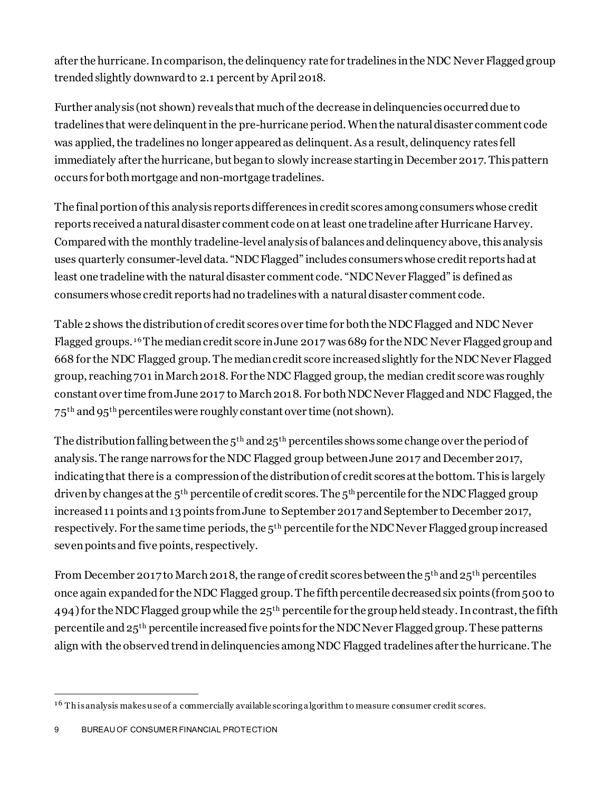after the hurricane. In comparison, the delinquency rate for tradelines in the NDC Never Flagged group trendedslightly downwardto 2.1 percent by April 2018.

Further analysis (not shown) reveals that much of the decrease in delinquencies occurreddue to tradelines that were delinquent in the pre-hurricane period. When the natural disaster comment code was applied, the tradelines no longer appeared as delinquent. As a result, delinquency rates fell immediately after the hurricane, but began to slowly increase starting in December 2017. This pattern occurs for both mortgage and non-mortgage tradelines.

The final portion of this analysis reports differences in credit scores among consumers whose credit reports received a natural disaster comment code on at least one tradeline after Hurricane Harvey. Compared with the monthly tradeline-level analysis of balances and delinquency above, this analysis uses quarterly consumer-leveldata. "NDC Flagged" includes consumers whose credit reports had at least one tradeline with the natural disaster comment code. "NDC Never Flagged" is defined as consumers whose credit reports had no tradelineswith a natural disaster comment code.

Table 2 shows the distributionof credit scores over time for both the NDC Flagged and NDC Never Flagged groups. <sup>16</sup> The median credit score in June 2017 was 689 for the NDC Never Flagged group and 668 for the NDC Flagged group. The median credit score increased slightly for the NDC Never Flagged group, reaching 701 in March 2018. For the NDC Flagged group, the median credit score was roughly constant over time from June 2017 to March 2018. For both NDC Never Flagged and NDC Flagged, the 75th and 95th percentiles were roughly constant over time (not shown).

The distribution falling between the  $5<sup>th</sup>$  and  $25<sup>th</sup>$  percentiles shows some change over the period of analysis. The range narrows for the NDC Flagged group between June 2017 and December 2017, indicating that there is a compression of the distribution of credit scores at the bottom. This is largely driven by changes at the  $5<sup>th</sup>$  percentile of credit scores. The  $5<sup>th</sup>$  percentile for the NDC Flagged group increased 11 points and 13 points from June to September 2017 and September to December 2017, respectively. For the same time periods, the 5<sup>th</sup> percentile for the NDC Never Flagged group increased seven points and five points, respectively.

From December 2017 to March 2018, the range of credit scores between the  $5<sup>th</sup>$  and  $25<sup>th</sup>$  percentiles once again expandedfor the NDC Flagged group. The fifth percentile decreased six points (from 500 to 494) for the NDC Flagged group while the 25<sup>th</sup> percentile for the group held steady. In contrast, the fifth percentile and 25th percentile increased five points for the NDC Never Flaggedgroup. These patterns align with the observed trendin delinquencies among NDC Flagged tradelines after the hurricane. The

<span id="page-9-0"></span><sup>&</sup>lt;sup>16</sup> Th is analysis makes use of a commercially available scoring a lgorithm to measure consumer credit scores. l